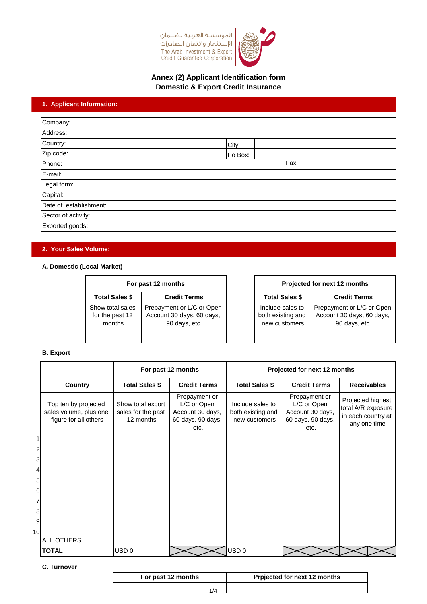



## **Domestic & Export Credit Insurance Annex (2) Applicant Identification form**

# **1. Applicant Information:**

| Company:               |         |      |
|------------------------|---------|------|
| Address:               |         |      |
| Country:               | City:   |      |
| Zip code:              | Po Box: |      |
| Phone:                 |         | Fax: |
| E-mail:                |         |      |
| Legal form:            |         |      |
| Capital:               |         |      |
| Date of establishment: |         |      |
| Sector of activity:    |         |      |
| Exported goods:        |         |      |

# **2. Your Sales Volume:**

### **A. Domestic (Local Market)**

| For past 12 months                            |                                                                         |  |  |
|-----------------------------------------------|-------------------------------------------------------------------------|--|--|
| <b>Total Sales \$</b><br><b>Credit Terms</b>  |                                                                         |  |  |
| Show total sales<br>for the past 12<br>months | Prepayment or L/C or Open<br>Account 30 days, 60 days,<br>90 days, etc. |  |  |
|                                               |                                                                         |  |  |

| For past 12 months |                                                                         |  |                                                        | Projected for next 12 months                                            |
|--------------------|-------------------------------------------------------------------------|--|--------------------------------------------------------|-------------------------------------------------------------------------|
| : \$               | <b>Credit Terms</b>                                                     |  | <b>Total Sales \$</b>                                  | <b>Credit Terms</b>                                                     |
| lles<br>12         | Prepayment or L/C or Open<br>Account 30 days, 60 days,<br>90 days, etc. |  | Include sales to<br>both existing and<br>new customers | Prepayment or L/C or Open<br>Account 30 days, 60 days,<br>90 days, etc. |
|                    |                                                                         |  |                                                        |                                                                         |

### **B. Export**

|    |                                                                         | For past 12 months                                   |                                                                               | Projected for next 12 months                           |                                                                               |                                                                               |
|----|-------------------------------------------------------------------------|------------------------------------------------------|-------------------------------------------------------------------------------|--------------------------------------------------------|-------------------------------------------------------------------------------|-------------------------------------------------------------------------------|
|    | Country                                                                 | <b>Total Sales \$</b>                                | <b>Credit Terms</b>                                                           | <b>Total Sales \$</b>                                  | <b>Credit Terms</b>                                                           | <b>Receivables</b>                                                            |
|    | Top ten by projected<br>sales volume, plus one<br>figure for all others | Show total export<br>sales for the past<br>12 months | Prepayment or<br>L/C or Open<br>Account 30 days,<br>60 days, 90 days,<br>etc. | Include sales to<br>both existing and<br>new customers | Prepayment or<br>L/C or Open<br>Account 30 days,<br>60 days, 90 days,<br>etc. | Projected highest<br>total A/R exposure<br>in each country at<br>any one time |
|    |                                                                         |                                                      |                                                                               |                                                        |                                                                               |                                                                               |
| 2  |                                                                         |                                                      |                                                                               |                                                        |                                                                               |                                                                               |
| 3  |                                                                         |                                                      |                                                                               |                                                        |                                                                               |                                                                               |
|    |                                                                         |                                                      |                                                                               |                                                        |                                                                               |                                                                               |
| 5  |                                                                         |                                                      |                                                                               |                                                        |                                                                               |                                                                               |
| 6  |                                                                         |                                                      |                                                                               |                                                        |                                                                               |                                                                               |
| 7  |                                                                         |                                                      |                                                                               |                                                        |                                                                               |                                                                               |
| 8  |                                                                         |                                                      |                                                                               |                                                        |                                                                               |                                                                               |
| 9  |                                                                         |                                                      |                                                                               |                                                        |                                                                               |                                                                               |
| 10 |                                                                         |                                                      |                                                                               |                                                        |                                                                               |                                                                               |
|    | ALL OTHERS                                                              |                                                      |                                                                               |                                                        |                                                                               |                                                                               |
|    | <b>TOTAL</b>                                                            | USD 0                                                |                                                                               | USD <sub>0</sub>                                       |                                                                               |                                                                               |

**C. Turnover** 

| For past 12 months | <b>Prpjected for next 12 months</b> |
|--------------------|-------------------------------------|
| 1 / A              |                                     |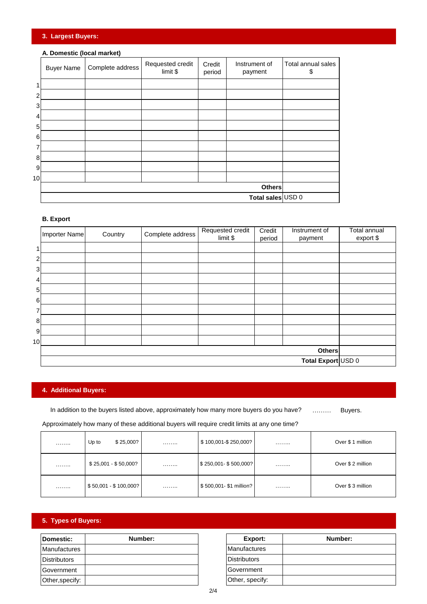## **3. Largest Buyers:**

## **A. Domestic (local market)**

|    | <b>Buyer Name</b> | Complete address | Requested credit<br>limit \$ | Credit<br>period | Instrument of<br>payment | Total annual sales<br>\$ |
|----|-------------------|------------------|------------------------------|------------------|--------------------------|--------------------------|
|    |                   |                  |                              |                  |                          |                          |
| 2  |                   |                  |                              |                  |                          |                          |
| 3  |                   |                  |                              |                  |                          |                          |
| 4  |                   |                  |                              |                  |                          |                          |
| 5  |                   |                  |                              |                  |                          |                          |
| 6  |                   |                  |                              |                  |                          |                          |
| 7  |                   |                  |                              |                  |                          |                          |
| 8  |                   |                  |                              |                  |                          |                          |
| 9  |                   |                  |                              |                  |                          |                          |
| 10 |                   |                  |                              |                  |                          |                          |
|    |                   |                  |                              |                  | <b>Others</b>            |                          |
|    |                   |                  |                              |                  | Total sales USD 0        |                          |

## **B. Export**

|                 | Importer Name      | Country | Complete address | Requested credit<br>limit \$ | Credit<br>period | Instrument of<br>payment | <b>Total annual</b><br>export \$ |
|-----------------|--------------------|---------|------------------|------------------------------|------------------|--------------------------|----------------------------------|
|                 |                    |         |                  |                              |                  |                          |                                  |
| 2               |                    |         |                  |                              |                  |                          |                                  |
| $\mathbf{3}$    |                    |         |                  |                              |                  |                          |                                  |
| 4               |                    |         |                  |                              |                  |                          |                                  |
| 5               |                    |         |                  |                              |                  |                          |                                  |
| 6               |                    |         |                  |                              |                  |                          |                                  |
| 7               |                    |         |                  |                              |                  |                          |                                  |
| 8               |                    |         |                  |                              |                  |                          |                                  |
| 9               |                    |         |                  |                              |                  |                          |                                  |
| 10 <sub>1</sub> |                    |         |                  |                              |                  |                          |                                  |
|                 | <b>Others</b>      |         |                  |                              |                  |                          |                                  |
|                 | Total Export USD 0 |         |                  |                              |                  |                          |                                  |

# **4. Additional Buyers:**

……… Buyers. In addition to the buyers listed above, approximately how many more buyers do you have?

Approximately how many of these additional buyers will require credit limits at any one time?

| . | \$25,000?<br>Up to    | . | \$100,001-\$250,000?                 | . | Over \$1 million  |
|---|-----------------------|---|--------------------------------------|---|-------------------|
| . | $$25,001 - $50,000?$  | . | $\frac{1}{2}$ \$250,001 - \$500,000? | . | Over \$ 2 million |
| . | $$50,001 - $100,000?$ | . | \$500,001-\$1 million?               | . | Over \$3 million  |

# **5. Types of Buyers:**

| Domestic:           | Number: |
|---------------------|---------|
| <b>Manufactures</b> |         |
| <b>Distributors</b> |         |
| Government          |         |
| Other, specify:     |         |

| Number: | Export:             | Number: |
|---------|---------------------|---------|
|         | Manufactures        |         |
|         | <b>Distributors</b> |         |
|         | Government          |         |
|         | Other, specify:     |         |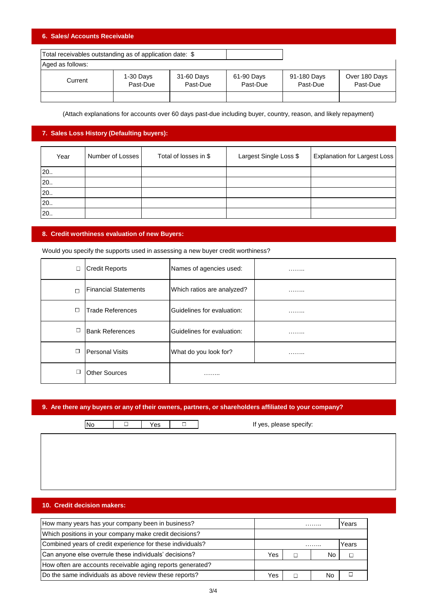## **6. Sales/ Accounts Receivable**

| Total receivables outstanding as of application date: \$ |                       |                        |                        |                         |                           |  |
|----------------------------------------------------------|-----------------------|------------------------|------------------------|-------------------------|---------------------------|--|
| Aged as follows:                                         |                       |                        |                        |                         |                           |  |
| Current                                                  | 1-30 Days<br>Past-Due | 31-60 Days<br>Past-Due | 61-90 Days<br>Past-Due | 91-180 Days<br>Past-Due | Over 180 Days<br>Past-Due |  |
|                                                          |                       |                        |                        |                         |                           |  |

(Attach explanations for accounts over 60 days past-due including buyer, country, reason, and likely repayment)

### **7. Sales Loss History (Defaulting buyers):**

| Year | Number of Losses | Total of losses in \$ | Largest Single Loss \$ | <b>Explanation for Largest Loss</b> |
|------|------------------|-----------------------|------------------------|-------------------------------------|
| 20.  |                  |                       |                        |                                     |
| 20.  |                  |                       |                        |                                     |
| 20.  |                  |                       |                        |                                     |
| 20.  |                  |                       |                        |                                     |
| 20.  |                  |                       |                        |                                     |

#### **8. Credit worthiness evaluation of new Buyers:**

Would you specify the supports used in assessing a new buyer credit worthiness?

| $\Box$ | <b>Credit Reports</b>       | Names of agencies used:    | . |
|--------|-----------------------------|----------------------------|---|
| $\Box$ | <b>Financial Statements</b> | Which ratios are analyzed? | . |
| $\Box$ | <b>Trade References</b>     | Guidelines for evaluation: | . |
| $\Box$ | <b>Bank References</b>      | Guidelines for evaluation: | . |
| □      | Personal Visits             | What do you look for?      | . |
| ◻      | <b>Other Sources</b>        | .                          |   |

## **9. Are there any buyers or any of their owners, partners, or shareholders affiliated to your company?**

No  $\Box$  Yes  $\Box$  If yes, please specify:

## **10. Credit decision makers:**

| How many years has your company been in business?          |     |   | .  | Years  |
|------------------------------------------------------------|-----|---|----|--------|
| Which positions in your company make credit decisions?     |     |   |    |        |
| Combined years of credit experience for these individuals? |     |   |    | Years  |
| Can anyone else overrule these individuals' decisions?     | Yes | ┑ | No | $\Box$ |
| How often are accounts receivable aging reports generated? |     |   |    |        |
| Do the same individuals as above review these reports?     | Yes |   | No |        |